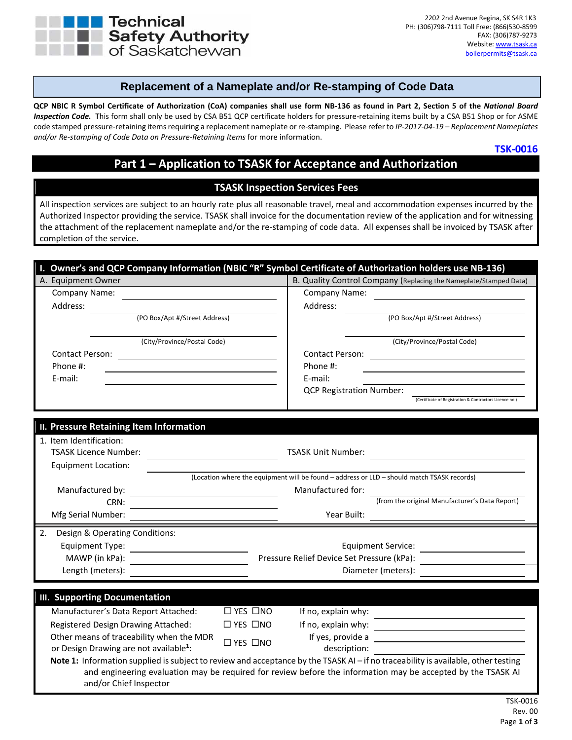

### **Replacement of a Nameplate and/or Re-stamping of Code Data**

QCP NBIC R Symbol Certificate of Authorization (CoA) companies shall use form NB-136 as found in Part 2, Section 5 of the National Board Inspection Code. This form shall only be used by CSA B51 QCP certificate holders for pressure-retaining items built by a CSA B51 Shop or for ASME code stamped pressure‐retaining itemsrequiring a replacement nameplate or re‐stamping. Please refer to *IP‐2017‐04‐19 – Replacement Nameplates and/or Re‐stamping of Code Data on Pressure‐Retaining Items* for more information.

#### **TSK‐0016**

info@tsask.ca

# **Part 1 – Application to TSASK for Acceptance and Authorization**

#### **TSASK Inspection Services Fees**

All inspection services are subject to an hourly rate plus all reasonable travel, meal and accommodation expenses incurred by the Authorized Inspector providing the service. TSASK shall invoice for the documentation review of the application and for witnessing the attachment of the replacement nameplate and/or the re-stamping of code data. All expenses shall be invoiced by TSASK after completion of the service.

|                                                                        | I. Owner's and QCP Company Information (NBIC "R" Symbol Certificate of Authorization holders use NB-136)                          |  |  |
|------------------------------------------------------------------------|-----------------------------------------------------------------------------------------------------------------------------------|--|--|
| A. Equipment Owner                                                     | B. Quality Control Company (Replacing the Nameplate/Stamped Data)                                                                 |  |  |
| Company Name:                                                          | Company Name:                                                                                                                     |  |  |
| Address:                                                               | Address:                                                                                                                          |  |  |
| (PO Box/Apt #/Street Address)                                          | (PO Box/Apt #/Street Address)                                                                                                     |  |  |
| (City/Province/Postal Code)                                            | (City/Province/Postal Code)                                                                                                       |  |  |
| Contact Person:<br><u> 1989 - Johann Barbara, martxa alemaniar arg</u> | Contact Person:                                                                                                                   |  |  |
| Phone #:                                                               | Phone #:                                                                                                                          |  |  |
| E-mail:                                                                | E-mail:                                                                                                                           |  |  |
|                                                                        | <b>QCP Registration Number:</b>                                                                                                   |  |  |
|                                                                        | (Certificate of Registration & Contractors Licence no.)                                                                           |  |  |
|                                                                        |                                                                                                                                   |  |  |
| II. Pressure Retaining Item Information                                |                                                                                                                                   |  |  |
| 1. Item Identification:                                                |                                                                                                                                   |  |  |
| <b>TSASK Licence Number:</b>                                           | <b>TSASK Unit Number:</b>                                                                                                         |  |  |
| <b>Equipment Location:</b>                                             |                                                                                                                                   |  |  |
|                                                                        | (Location where the equipment will be found - address or LLD - should match TSASK records)                                        |  |  |
| Manufactured by:<br><u> 1980 - Johann Barbara, martin a</u>            | Manufactured for:                                                                                                                 |  |  |
| CRN:                                                                   | (from the original Manufacturer's Data Report)                                                                                    |  |  |
| Mfg Serial Number:                                                     | Year Built:                                                                                                                       |  |  |
| 2.<br>Design & Operating Conditions:                                   |                                                                                                                                   |  |  |
| Equipment Type:                                                        | <b>Equipment Service:</b>                                                                                                         |  |  |
| MAWP (in kPa):                                                         | Pressure Relief Device Set Pressure (kPa):                                                                                        |  |  |
| Length (meters):                                                       | Diameter (meters):                                                                                                                |  |  |
|                                                                        |                                                                                                                                   |  |  |
| <b>III. Supporting Documentation</b>                                   |                                                                                                                                   |  |  |
| Manufacturer's Data Report Attached:                                   | $\Box$ YES $\Box$ NO<br>If no, explain why:                                                                                       |  |  |
| Registered Design Drawing Attached:                                    | If no, explain why:<br>$\Box$ YES $\Box$ NO<br><u> 1989 - Johann Barn, amerikansk politiker (d. 1989)</u>                         |  |  |
| Other means of traceability when the MDR                               | If yes, provide a<br><u> 1980 - Johann Barbara, martxa alemaniar amerikan a</u>                                                   |  |  |
| or Design Drawing are not available <sup>1</sup> :                     | □ YES □NO<br>description:                                                                                                         |  |  |
|                                                                        | Note 1: Information supplied is subject to review and acceptance by the TSASK AI - if no traceability is available, other testing |  |  |
|                                                                        | and engineering evaluation may be required for review before the information may be accepted by the TSASK AI                      |  |  |
| and/or Chief Inspector                                                 |                                                                                                                                   |  |  |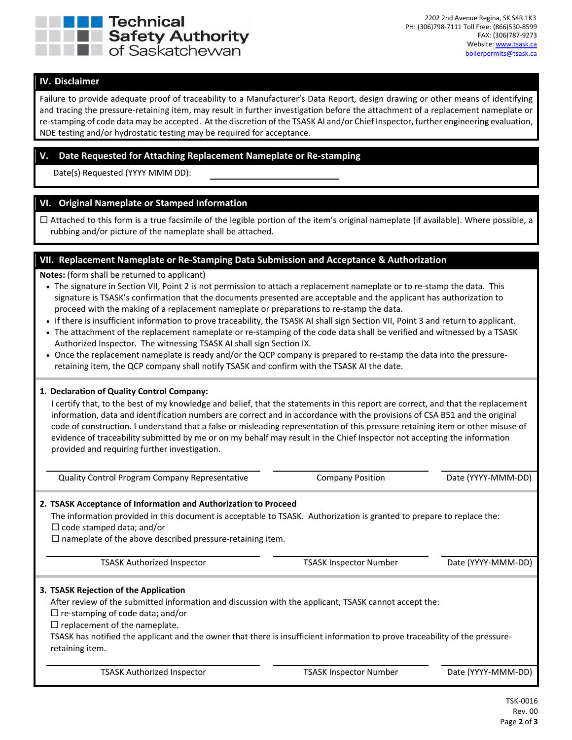

#### **IV. Disclaimer**

Failure to provide adequate proof of traceability to a Manufacturer's Data Report, design drawing or other means of identifying and tracing the pressure‐retaining item, may result in further investigation before the attachment of a replacement nameplate or re-stamping of code data may be accepted. At the discretion of the TSASK AI and/or Chief Inspector, further engineering evaluation, NDE testing and/or hydrostatic testing may be required for acceptance.

#### **V. Date Requested for Attaching Replacement Nameplate or Re‐stamping**

Date(s) Requested (YYYY MMM DD):

#### **VI. Original Nameplate or Stamped Information**

 $\Box$  Attached to this form is a true facsimile of the legible portion of the item's original nameplate (if available). Where possible, a rubbing and/or picture of the nameplate shall be attached.

#### **VII. Replacement Nameplate or Re‐Stamping Data Submission and Acceptance & Authorization**

**Notes:** (form shall be returned to applicant)

- The signature in Section VII, Point 2 is not permission to attach a replacement nameplate or to re‐stamp the data. This signature is TSASK's confirmation that the documents presented are acceptable and the applicant has authorization to proceed with the making of a replacement nameplate or preparations to re‐stamp the data.
- If there is insufficient information to prove traceability, the TSASK AI shall sign Section VII, Point 3 and return to applicant.
- The attachment of the replacement nameplate or re‐stamping of the code data shall be verified and witnessed by a TSASK Authorized Inspector. The witnessing TSASK AI shall sign Section IX.
- Once the replacement nameplate is ready and/or the QCP company is prepared to re‐stamp the data into the pressure‐ retaining item, the QCP company shall notify TSASK and confirm with the TSASK AI the date.

#### **1. Declaration of Quality Control Company:**

I certify that, to the best of my knowledge and belief, that the statements in this report are correct, and that the replacement information, data and identification numbers are correct and in accordance with the provisions of CSA B51 and the original code of construction. I understand that a false or misleading representation of this pressure retaining item or other misuse of evidence of traceability submitted by me or on my behalf may result in the Chief Inspector not accepting the information provided and requiring further investigation.

|                                                                                                                                                                                                                                                                                                                                                                                                                           | <b>Quality Control Program Company Representative</b>                                                                               | <b>Company Position</b>                                                                                               | Date (YYYY-MMM-DD) |
|---------------------------------------------------------------------------------------------------------------------------------------------------------------------------------------------------------------------------------------------------------------------------------------------------------------------------------------------------------------------------------------------------------------------------|-------------------------------------------------------------------------------------------------------------------------------------|-----------------------------------------------------------------------------------------------------------------------|--------------------|
| $\Box$ code stamped data; and/or                                                                                                                                                                                                                                                                                                                                                                                          | 2. TSASK Acceptance of Information and Authorization to Proceed<br>$\Box$ nameplate of the above described pressure-retaining item. | The information provided in this document is acceptable to TSASK. Authorization is granted to prepare to replace the: |                    |
|                                                                                                                                                                                                                                                                                                                                                                                                                           | <b>TSASK Authorized Inspector</b>                                                                                                   | <b>TSASK Inspector Number</b>                                                                                         | Date (YYYY-MMM-DD) |
| 3. TSASK Rejection of the Application<br>After review of the submitted information and discussion with the applicant, TSASK cannot accept the:<br>$\Box$ re-stamping of code data; and/or<br>$\Box$ replacement of the nameplate.<br>TSASK has notified the applicant and the owner that there is insufficient information to prove traceability of the pressure-<br>retaining item.<br><b>TSASK Authorized Inspector</b> |                                                                                                                                     |                                                                                                                       |                    |
|                                                                                                                                                                                                                                                                                                                                                                                                                           |                                                                                                                                     | <b>TSASK Inspector Number</b>                                                                                         | Date (YYYY-MMM-DD) |